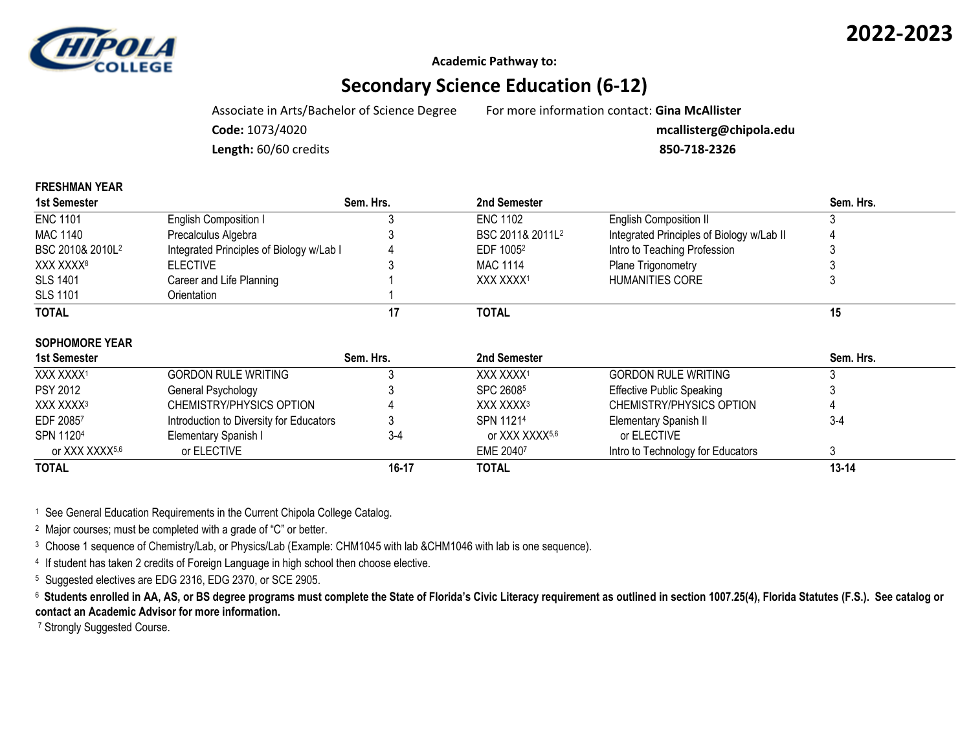

**FRESHMAN YEAR**

**Academic Pathway to:**

## **Secondary Science Education (6-12)**

Associate in Arts/Bachelor of Science Degree For more information contact: **Gina McAllister**

**Code:** 1073/4020 **mcallisterg@chipola.edu**

**Length:** 60/60 credits **850-718-2326**

| <b>FRESHWAN IEAR</b>         |                                          |           |                              |                                           |           |
|------------------------------|------------------------------------------|-----------|------------------------------|-------------------------------------------|-----------|
| 1st Semester                 |                                          | Sem. Hrs. | 2nd Semester                 |                                           | Sem. Hrs. |
| <b>ENC 1101</b>              | English Composition I                    |           | <b>ENC 1102</b>              | <b>English Composition II</b>             |           |
| MAC 1140                     | Precalculus Algebra                      |           | BSC 2011& 2011L <sup>2</sup> | Integrated Principles of Biology w/Lab II |           |
| BSC 2010& 2010L <sup>2</sup> | Integrated Principles of Biology w/Lab I |           | EDF 1005 <sup>2</sup>        | Intro to Teaching Profession              |           |
| XXX XXXX <sup>8</sup>        | <b>ELECTIVE</b>                          |           | <b>MAC 1114</b>              | Plane Trigonometry                        |           |
| <b>SLS 1401</b>              | Career and Life Planning                 |           | XXX XXXX <sup>1</sup>        | <b>HUMANITIES CORE</b>                    |           |
| <b>SLS 1101</b>              | Orientation                              |           |                              |                                           |           |
| <b>TOTAL</b>                 |                                          | 17        | <b>TOTAL</b>                 |                                           | 15        |
| <b>SOPHOMORE YEAR</b>        |                                          |           |                              |                                           |           |
| 1st Semester                 |                                          | Sem. Hrs. | 2nd Semester                 |                                           | Sem. Hrs. |
| XXX XXXX1                    | <b>GORDON RULE WRITING</b>               |           | XXX XXXX1                    | <b>GORDON RULE WRITING</b>                |           |
| <b>PSY 2012</b>              | General Psychology                       |           | SPC 26085                    | <b>Effective Public Speaking</b>          |           |
| XXX XXXX <sup>3</sup>        | CHEMISTRY/PHYSICS OPTION                 |           | XXX XXXX <sup>3</sup>        | CHEMISTRY/PHYSICS OPTION                  |           |
| EDF 20857                    | Introduction to Diversity for Educators  |           | SPN 11214                    | Elementary Spanish II                     | $3-4$     |
| SPN 11204                    | Elementary Spanish I                     | $3-4$     | or XXX XXXX5,6               | or ELECTIVE                               |           |
| or XXX XXXX5,6               | or ELECTIVE                              |           | EME 20407                    | Intro to Technology for Educators         | 3         |

**TOTAL 16-17 TOTAL 13-14**

<sup>1</sup> See General Education Requirements in the Current Chipola College Catalog.

<sup>2</sup> Major courses; must be completed with a grade of "C" or better.

<sup>3</sup> Choose 1 sequence of Chemistry/Lab, or Physics/Lab (Example: CHM1045 with lab &CHM1046 with lab is one sequence).

4 If student has taken 2 credits of Foreign Language in high school then choose elective.

<sup>5</sup> Suggested electives are EDG 2316, EDG 2370, or SCE 2905.

<sup>6</sup> Students enrolled in AA, AS, or BS degree programs must complete the State of Florida's Civic Literacy requirement as outlined in section 1007.25(4), Florida Statutes (F.S.). See catalog or **contact an Academic Advisor for more information.**

<sup>7</sup> Strongly Suggested Course.